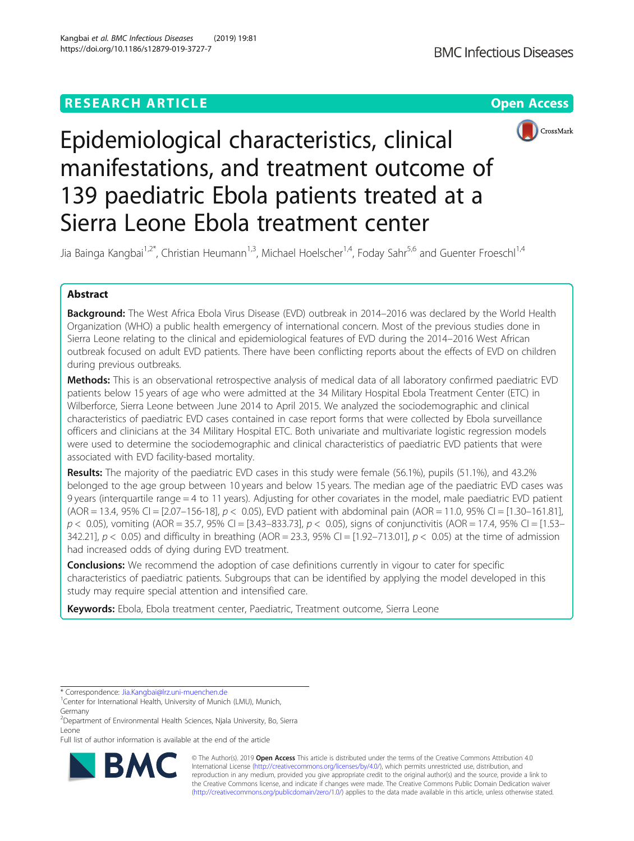## **RESEARCH ARTICLE Example 2014 12:30 The Contract of Contract ACCESS**



# Epidemiological characteristics, clinical manifestations, and treatment outcome of 139 paediatric Ebola patients treated at a Sierra Leone Ebola treatment center

Jia Bainga Kangbai<sup>1,2\*</sup>, Christian Heumann<sup>1,3</sup>, Michael Hoelscher<sup>1,4</sup>, Foday Sahr<sup>5,6</sup> and Guenter Froeschl<sup>1,4</sup>

## Abstract

Background: The West Africa Ebola Virus Disease (EVD) outbreak in 2014–2016 was declared by the World Health Organization (WHO) a public health emergency of international concern. Most of the previous studies done in Sierra Leone relating to the clinical and epidemiological features of EVD during the 2014–2016 West African outbreak focused on adult EVD patients. There have been conflicting reports about the effects of EVD on children during previous outbreaks.

Methods: This is an observational retrospective analysis of medical data of all laboratory confirmed paediatric EVD patients below 15 years of age who were admitted at the 34 Military Hospital Ebola Treatment Center (ETC) in Wilberforce, Sierra Leone between June 2014 to April 2015. We analyzed the sociodemographic and clinical characteristics of paediatric EVD cases contained in case report forms that were collected by Ebola surveillance officers and clinicians at the 34 Military Hospital ETC. Both univariate and multivariate logistic regression models were used to determine the sociodemographic and clinical characteristics of paediatric EVD patients that were associated with EVD facility-based mortality.

Results: The majority of the paediatric EVD cases in this study were female (56.1%), pupils (51.1%), and 43.2% belonged to the age group between 10 years and below 15 years. The median age of the paediatric EVD cases was 9 years (interquartile range = 4 to 11 years). Adjusting for other covariates in the model, male paediatric EVD patient  $(AOR = 13.4, 95\% \text{ CI} = [2.07 - 156 - 18], p < 0.05)$ , EVD patient with abdominal pain  $(AOR = 11.0, 95\% \text{ CI} = [1.30 - 161.81],$  $p$  < 0.05), vomiting (AOR = 35.7, 95% CI = [3.43–833.73],  $p$  < 0.05), signs of conjunctivitis (AOR = 17.4, 95% CI = [1.53– 342.21],  $p < 0.05$  and difficulty in breathing (AOR = 23.3, 95% CI = [1.92–713.01],  $p < 0.05$  at the time of admission had increased odds of dying during EVD treatment.

**Conclusions:** We recommend the adoption of case definitions currently in vigour to cater for specific characteristics of paediatric patients. Subgroups that can be identified by applying the model developed in this study may require special attention and intensified care.

Keywords: Ebola, Ebola treatment center, Paediatric, Treatment outcome, Sierra Leone

Full list of author information is available at the end of the article



© The Author(s). 2019 **Open Access** This article is distributed under the terms of the Creative Commons Attribution 4.0 International License [\(http://creativecommons.org/licenses/by/4.0/](http://creativecommons.org/licenses/by/4.0/)), which permits unrestricted use, distribution, and reproduction in any medium, provided you give appropriate credit to the original author(s) and the source, provide a link to the Creative Commons license, and indicate if changes were made. The Creative Commons Public Domain Dedication waiver [\(http://creativecommons.org/publicdomain/zero/1.0/](http://creativecommons.org/publicdomain/zero/1.0/)) applies to the data made available in this article, unless otherwise stated.

<sup>\*</sup> Correspondence: [Jia.Kangbai@lrz.uni-muenchen.de](mailto:Jia.Kangbai@lrz.uni-muenchen.de) <sup>1</sup>

<sup>&</sup>lt;sup>1</sup> Center for International Health, University of Munich (LMU), Munich, Germany

<sup>2</sup> Department of Environmental Health Sciences, Njala University, Bo, Sierra Leone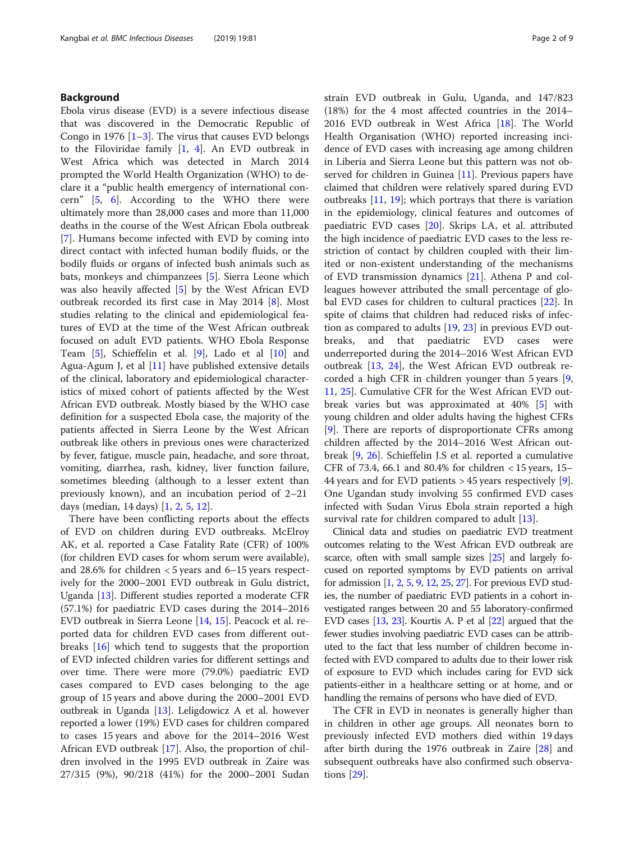## Background

Ebola virus disease (EVD) is a severe infectious disease that was discovered in the Democratic Republic of Congo in 1976  $[1-3]$  $[1-3]$  $[1-3]$ . The virus that causes EVD belongs to the Filoviridae family [\[1](#page-7-0), [4\]](#page-8-0). An EVD outbreak in West Africa which was detected in March 2014 prompted the World Health Organization (WHO) to declare it a "public health emergency of international concern" [\[5](#page-8-0), [6](#page-8-0)]. According to the WHO there were ultimately more than 28,000 cases and more than 11,000 deaths in the course of the West African Ebola outbreak [[7\]](#page-8-0). Humans become infected with EVD by coming into direct contact with infected human bodily fluids, or the bodily fluids or organs of infected bush animals such as bats, monkeys and chimpanzees [[5\]](#page-8-0). Sierra Leone which was also heavily affected [[5\]](#page-8-0) by the West African EVD outbreak recorded its first case in May 2014 [[8\]](#page-8-0). Most studies relating to the clinical and epidemiological features of EVD at the time of the West African outbreak focused on adult EVD patients. WHO Ebola Response Team [\[5](#page-8-0)], Schieffelin et al. [\[9\]](#page-8-0), Lado et al [[10\]](#page-8-0) and Agua-Agum J, et al  $[11]$  $[11]$  have published extensive details of the clinical, laboratory and epidemiological characteristics of mixed cohort of patients affected by the West African EVD outbreak. Mostly biased by the WHO case definition for a suspected Ebola case, the majority of the patients affected in Sierra Leone by the West African outbreak like others in previous ones were characterized by fever, fatigue, muscle pain, headache, and sore throat, vomiting, diarrhea, rash, kidney, liver function failure, sometimes bleeding (although to a lesser extent than previously known), and an incubation period of 2–21 days (median, 14 days) [[1,](#page-7-0) [2,](#page-8-0) [5,](#page-8-0) [12\]](#page-8-0).

There have been conflicting reports about the effects of EVD on children during EVD outbreaks. McElroy AK, et al. reported a Case Fatality Rate (CFR) of 100% (for children EVD cases for whom serum were available), and  $28.6\%$  for children  $<$  5 years and 6–15 years respectively for the 2000–2001 EVD outbreak in Gulu district, Uganda [\[13](#page-8-0)]. Different studies reported a moderate CFR (57.1%) for paediatric EVD cases during the 2014–2016 EVD outbreak in Sierra Leone [[14,](#page-8-0) [15\]](#page-8-0). Peacock et al. reported data for children EVD cases from different outbreaks [\[16](#page-8-0)] which tend to suggests that the proportion of EVD infected children varies for different settings and over time. There were more (79.0%) paediatric EVD cases compared to EVD cases belonging to the age group of 15 years and above during the 2000–2001 EVD outbreak in Uganda [[13\]](#page-8-0). Leligdowicz A et al. however reported a lower (19%) EVD cases for children compared to cases 15 years and above for the 2014–2016 West African EVD outbreak [\[17](#page-8-0)]. Also, the proportion of children involved in the 1995 EVD outbreak in Zaire was 27/315 (9%), 90/218 (41%) for the 2000–2001 Sudan strain EVD outbreak in Gulu, Uganda, and 147/823 (18%) for the 4 most affected countries in the 2014– 2016 EVD outbreak in West Africa [[18\]](#page-8-0). The World Health Organisation (WHO) reported increasing incidence of EVD cases with increasing age among children in Liberia and Sierra Leone but this pattern was not ob-served for children in Guinea [\[11](#page-8-0)]. Previous papers have claimed that children were relatively spared during EVD outbreaks [\[11,](#page-8-0) [19](#page-8-0)]; which portrays that there is variation in the epidemiology, clinical features and outcomes of paediatric EVD cases [\[20](#page-8-0)]. Skrips LA, et al. attributed the high incidence of paediatric EVD cases to the less restriction of contact by children coupled with their limited or non-existent understanding of the mechanisms of EVD transmission dynamics [[21](#page-8-0)]. Athena P and colleagues however attributed the small percentage of global EVD cases for children to cultural practices [\[22\]](#page-8-0). In spite of claims that children had reduced risks of infection as compared to adults  $[19, 23]$  $[19, 23]$  $[19, 23]$  in previous EVD outbreaks, and that paediatric EVD cases were underreported during the 2014–2016 West African EVD outbreak [\[13](#page-8-0), [24\]](#page-8-0), the West African EVD outbreak recorded a high CFR in children younger than 5 years [\[9](#page-8-0), [11,](#page-8-0) [25\]](#page-8-0). Cumulative CFR for the West African EVD outbreak varies but was approximated at 40% [\[5](#page-8-0)] with young children and older adults having the highest CFRs [[9\]](#page-8-0). There are reports of disproportionate CFRs among children affected by the 2014–2016 West African outbreak [\[9,](#page-8-0) [26\]](#page-8-0). Schieffelin J.S et al. reported a cumulative CFR of 73.4, 66.1 and 80.4% for children < 15 years, 15– 44 years and for EVD patients > 45 years respectively [\[9](#page-8-0)]. One Ugandan study involving 55 confirmed EVD cases infected with Sudan Virus Ebola strain reported a high survival rate for children compared to adult [\[13](#page-8-0)].

Clinical data and studies on paediatric EVD treatment outcomes relating to the West African EVD outbreak are scarce, often with small sample sizes [\[25\]](#page-8-0) and largely focused on reported symptoms by EVD patients on arrival for admission [\[1,](#page-7-0) [2](#page-8-0), [5](#page-8-0), [9,](#page-8-0) [12,](#page-8-0) [25,](#page-8-0) [27\]](#page-8-0). For previous EVD studies, the number of paediatric EVD patients in a cohort investigated ranges between 20 and 55 laboratory-confirmed EVD cases [\[13,](#page-8-0) [23](#page-8-0)]. Kourtis A. P et al [\[22](#page-8-0)] argued that the fewer studies involving paediatric EVD cases can be attributed to the fact that less number of children become infected with EVD compared to adults due to their lower risk of exposure to EVD which includes caring for EVD sick patients-either in a healthcare setting or at home, and or handling the remains of persons who have died of EVD.

The CFR in EVD in neonates is generally higher than in children in other age groups. All neonates born to previously infected EVD mothers died within 19 days after birth during the 1976 outbreak in Zaire [\[28\]](#page-8-0) and subsequent outbreaks have also confirmed such observations [[29\]](#page-8-0).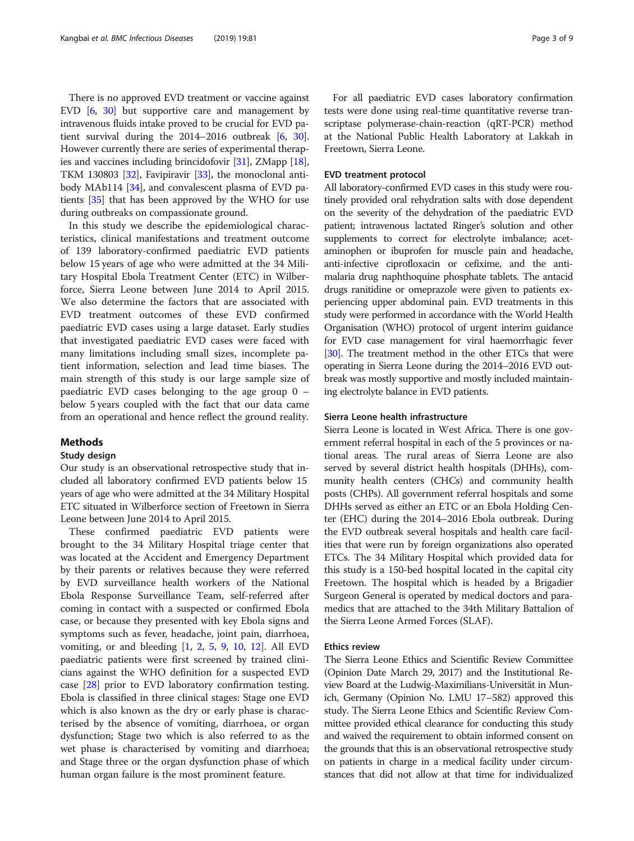There is no approved EVD treatment or vaccine against EVD [\[6](#page-8-0), [30](#page-8-0)] but supportive care and management by intravenous fluids intake proved to be crucial for EVD patient survival during the 2014–2016 outbreak [[6,](#page-8-0) [30](#page-8-0)]. However currently there are series of experimental therapies and vaccines including brincidofovir [\[31\]](#page-8-0), ZMapp [[18](#page-8-0)], TKM 130803 [\[32\]](#page-8-0), Favipiravir [[33](#page-8-0)], the monoclonal antibody MAb114 [[34](#page-8-0)], and convalescent plasma of EVD patients [[35](#page-8-0)] that has been approved by the WHO for use during outbreaks on compassionate ground.

In this study we describe the epidemiological characteristics, clinical manifestations and treatment outcome of 139 laboratory-confirmed paediatric EVD patients below 15 years of age who were admitted at the 34 Military Hospital Ebola Treatment Center (ETC) in Wilberforce, Sierra Leone between June 2014 to April 2015. We also determine the factors that are associated with EVD treatment outcomes of these EVD confirmed paediatric EVD cases using a large dataset. Early studies that investigated paediatric EVD cases were faced with many limitations including small sizes, incomplete patient information, selection and lead time biases. The main strength of this study is our large sample size of paediatric EVD cases belonging to the age group 0 – below 5 years coupled with the fact that our data came from an operational and hence reflect the ground reality.

## Methods

## Study design

Our study is an observational retrospective study that included all laboratory confirmed EVD patients below 15 years of age who were admitted at the 34 Military Hospital ETC situated in Wilberforce section of Freetown in Sierra Leone between June 2014 to April 2015.

These confirmed paediatric EVD patients were brought to the 34 Military Hospital triage center that was located at the Accident and Emergency Department by their parents or relatives because they were referred by EVD surveillance health workers of the National Ebola Response Surveillance Team, self-referred after coming in contact with a suspected or confirmed Ebola case, or because they presented with key Ebola signs and symptoms such as fever, headache, joint pain, diarrhoea, vomiting, or and bleeding  $[1, 2, 5, 9, 10, 12]$  $[1, 2, 5, 9, 10, 12]$  $[1, 2, 5, 9, 10, 12]$  $[1, 2, 5, 9, 10, 12]$  $[1, 2, 5, 9, 10, 12]$  $[1, 2, 5, 9, 10, 12]$  $[1, 2, 5, 9, 10, 12]$  $[1, 2, 5, 9, 10, 12]$  $[1, 2, 5, 9, 10, 12]$  $[1, 2, 5, 9, 10, 12]$  $[1, 2, 5, 9, 10, 12]$  $[1, 2, 5, 9, 10, 12]$  $[1, 2, 5, 9, 10, 12]$ . All EVD paediatric patients were first screened by trained clinicians against the WHO definition for a suspected EVD case [\[28\]](#page-8-0) prior to EVD laboratory confirmation testing. Ebola is classified in three clinical stages: Stage one EVD which is also known as the dry or early phase is characterised by the absence of vomiting, diarrhoea, or organ dysfunction; Stage two which is also referred to as the wet phase is characterised by vomiting and diarrhoea; and Stage three or the organ dysfunction phase of which human organ failure is the most prominent feature.

For all paediatric EVD cases laboratory confirmation tests were done using real-time quantitative reverse transcriptase polymerase-chain-reaction (qRT-PCR) method at the National Public Health Laboratory at Lakkah in Freetown, Sierra Leone.

## EVD treatment protocol

All laboratory-confirmed EVD cases in this study were routinely provided oral rehydration salts with dose dependent on the severity of the dehydration of the paediatric EVD patient; intravenous lactated Ringer's solution and other supplements to correct for electrolyte imbalance; acetaminophen or ibuprofen for muscle pain and headache, anti-infective ciprofloxacin or cefixime, and the antimalaria drug naphthoquine phosphate tablets. The antacid drugs ranitidine or omeprazole were given to patients experiencing upper abdominal pain. EVD treatments in this study were performed in accordance with the World Health Organisation (WHO) protocol of urgent interim guidance for EVD case management for viral haemorrhagic fever [[30](#page-8-0)]. The treatment method in the other ETCs that were operating in Sierra Leone during the 2014–2016 EVD outbreak was mostly supportive and mostly included maintaining electrolyte balance in EVD patients.

## Sierra Leone health infrastructure

Sierra Leone is located in West Africa. There is one government referral hospital in each of the 5 provinces or national areas. The rural areas of Sierra Leone are also served by several district health hospitals (DHHs), community health centers (CHCs) and community health posts (CHPs). All government referral hospitals and some DHHs served as either an ETC or an Ebola Holding Center (EHC) during the 2014–2016 Ebola outbreak. During the EVD outbreak several hospitals and health care facilities that were run by foreign organizations also operated ETCs. The 34 Military Hospital which provided data for this study is a 150-bed hospital located in the capital city Freetown. The hospital which is headed by a Brigadier Surgeon General is operated by medical doctors and paramedics that are attached to the 34th Military Battalion of the Sierra Leone Armed Forces (SLAF).

## Ethics review

The Sierra Leone Ethics and Scientific Review Committee (Opinion Date March 29, 2017) and the Institutional Review Board at the Ludwig-Maximilians-Universität in Munich, Germany (Opinion No. LMU 17–582) approved this study. The Sierra Leone Ethics and Scientific Review Committee provided ethical clearance for conducting this study and waived the requirement to obtain informed consent on the grounds that this is an observational retrospective study on patients in charge in a medical facility under circumstances that did not allow at that time for individualized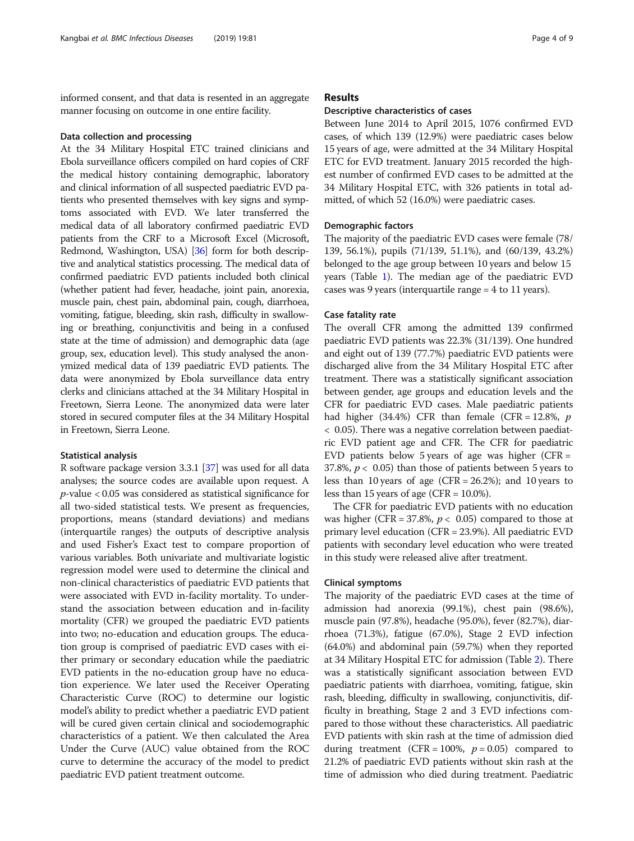informed consent, and that data is resented in an aggregate manner focusing on outcome in one entire facility.

## Data collection and processing

At the 34 Military Hospital ETC trained clinicians and Ebola surveillance officers compiled on hard copies of CRF the medical history containing demographic, laboratory and clinical information of all suspected paediatric EVD patients who presented themselves with key signs and symptoms associated with EVD. We later transferred the medical data of all laboratory confirmed paediatric EVD patients from the CRF to a Microsoft Excel (Microsoft, Redmond, Washington, USA) [\[36](#page-8-0)] form for both descriptive and analytical statistics processing. The medical data of confirmed paediatric EVD patients included both clinical (whether patient had fever, headache, joint pain, anorexia, muscle pain, chest pain, abdominal pain, cough, diarrhoea, vomiting, fatigue, bleeding, skin rash, difficulty in swallowing or breathing, conjunctivitis and being in a confused state at the time of admission) and demographic data (age group, sex, education level). This study analysed the anonymized medical data of 139 paediatric EVD patients. The data were anonymized by Ebola surveillance data entry clerks and clinicians attached at the 34 Military Hospital in Freetown, Sierra Leone. The anonymized data were later stored in secured computer files at the 34 Military Hospital in Freetown, Sierra Leone.

## Statistical analysis

R software package version 3.3.1 [[37\]](#page-8-0) was used for all data analyses; the source codes are available upon request. A  $p$ -value  $< 0.05$  was considered as statistical significance for all two-sided statistical tests. We present as frequencies, proportions, means (standard deviations) and medians (interquartile ranges) the outputs of descriptive analysis and used Fisher's Exact test to compare proportion of various variables. Both univariate and multivariate logistic regression model were used to determine the clinical and non-clinical characteristics of paediatric EVD patients that were associated with EVD in-facility mortality. To understand the association between education and in-facility mortality (CFR) we grouped the paediatric EVD patients into two; no-education and education groups. The education group is comprised of paediatric EVD cases with either primary or secondary education while the paediatric EVD patients in the no-education group have no education experience. We later used the Receiver Operating Characteristic Curve (ROC) to determine our logistic model's ability to predict whether a paediatric EVD patient will be cured given certain clinical and sociodemographic characteristics of a patient. We then calculated the Area Under the Curve (AUC) value obtained from the ROC curve to determine the accuracy of the model to predict paediatric EVD patient treatment outcome.

## Results

## Descriptive characteristics of cases

Between June 2014 to April 2015, 1076 confirmed EVD cases, of which 139 (12.9%) were paediatric cases below 15 years of age, were admitted at the 34 Military Hospital ETC for EVD treatment. January 2015 recorded the highest number of confirmed EVD cases to be admitted at the 34 Military Hospital ETC, with 326 patients in total admitted, of which 52 (16.0%) were paediatric cases.

## Demographic factors

The majority of the paediatric EVD cases were female (78/ 139, 56.1%), pupils (71/139, 51.1%), and (60/139, 43.2%) belonged to the age group between 10 years and below 15 years (Table [1\)](#page-4-0). The median age of the paediatric EVD cases was 9 years (interquartile range = 4 to 11 years).

## Case fatality rate

The overall CFR among the admitted 139 confirmed paediatric EVD patients was 22.3% (31/139). One hundred and eight out of 139 (77.7%) paediatric EVD patients were discharged alive from the 34 Military Hospital ETC after treatment. There was a statistically significant association between gender, age groups and education levels and the CFR for paediatric EVD cases. Male paediatric patients had higher (34.4%) CFR than female (CFR = 12.8%,  $p$ ) < 0.05). There was a negative correlation between paediatric EVD patient age and CFR. The CFR for paediatric EVD patients below 5 years of age was higher (CFR  $=$ 37.8%,  $p < 0.05$ ) than those of patients between 5 years to less than 10 years of age (CFR = 26.2%); and 10 years to less than 15 years of age (CFR =  $10.0\%$ ).

The CFR for paediatric EVD patients with no education was higher (CFR = 37.8%,  $p < 0.05$ ) compared to those at primary level education (CFR = 23.9%). All paediatric EVD patients with secondary level education who were treated in this study were released alive after treatment.

## Clinical symptoms

The majority of the paediatric EVD cases at the time of admission had anorexia (99.1%), chest pain (98.6%), muscle pain (97.8%), headache (95.0%), fever (82.7%), diarrhoea (71.3%), fatigue (67.0%), Stage 2 EVD infection (64.0%) and abdominal pain (59.7%) when they reported at 34 Military Hospital ETC for admission (Table [2](#page-4-0)). There was a statistically significant association between EVD paediatric patients with diarrhoea, vomiting, fatigue, skin rash, bleeding, difficulty in swallowing, conjunctivitis, difficulty in breathing, Stage 2 and 3 EVD infections compared to those without these characteristics. All paediatric EVD patients with skin rash at the time of admission died during treatment (CFR = 100%,  $p = 0.05$ ) compared to 21.2% of paediatric EVD patients without skin rash at the time of admission who died during treatment. Paediatric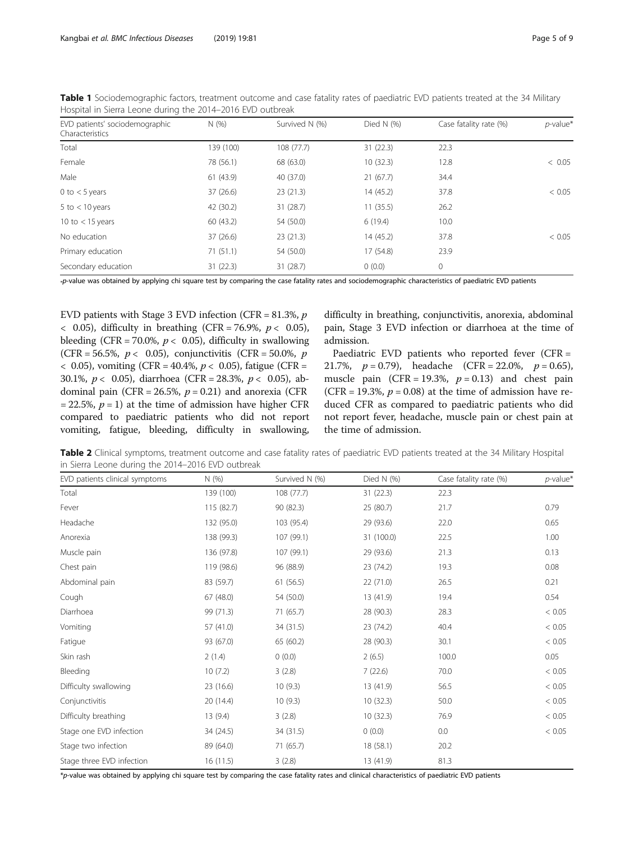| EVD patients' sociodemographic<br>Characteristics | N(% )     | Survived N (%) | Died N $(% )$ | Case fatality rate (%) | $p$ -value* |
|---------------------------------------------------|-----------|----------------|---------------|------------------------|-------------|
|                                                   |           |                |               |                        |             |
| Total                                             | 139 (100) | 108(77.7)      | 31(22.3)      | 22.3                   |             |
| Female                                            | 78 (56.1) | 68 (63.0)      | 10(32.3)      | 12.8                   | < 0.05      |
| Male                                              | 61 (43.9) | 40 (37.0)      | 21(67.7)      | 34.4                   |             |
| 0 to $<$ 5 years                                  | 37(26.6)  | 23(21.3)       | 14 (45.2)     | 37.8                   | < 0.05      |
| 5 to $<$ 10 years                                 | 42 (30.2) | 31(28.7)       | 11(35.5)      | 26.2                   |             |
| 10 to $<$ 15 years                                | 60(43.2)  | 54 (50.0)      | 6(19.4)       | 10.0                   |             |
| No education                                      | 37(26.6)  | 23(21.3)       | 14(45.2)      | 37.8                   | < 0.05      |
| Primary education                                 | 71(51.1)  | 54 (50.0)      | 17 (54.8)     | 23.9                   |             |
| Secondary education                               | 31(22.3)  | 31 (28.7)      | 0(0.0)        | $\mathbf 0$            |             |

<span id="page-4-0"></span>Table 1 Sociodemographic factors, treatment outcome and case fatality rates of paediatric EVD patients treated at the 34 Military Hospital in Sierra Leone during the 2014–2016 EVD outbreak

\*p-value was obtained by applying chi square test by comparing the case fatality rates and sociodemographic characteristics of paediatric EVD patients

EVD patients with Stage 3 EVD infection (CFR =  $81.3\%$ ,  $p$ )  $\langle$  0.05), difficulty in breathing (CFR = 76.9%,  $p \langle$  0.05), bleeding (CFR = 70.0%,  $p < 0.05$ ), difficulty in swallowing (CFR = 56.5%,  $p < 0.05$ ), conjunctivitis (CFR = 50.0%, p  $<$  0.05), vomiting (CFR = 40.4%,  $p <$  0.05), fatigue (CFR = 30.1%,  $p < 0.05$ ), diarrhoea (CFR = 28.3%,  $p < 0.05$ ), abdominal pain (CFR = 26.5%,  $p = 0.21$ ) and anorexia (CFR  $= 22.5\%$ ,  $p = 1$ ) at the time of admission have higher CFR compared to paediatric patients who did not report vomiting, fatigue, bleeding, difficulty in swallowing, difficulty in breathing, conjunctivitis, anorexia, abdominal pain, Stage 3 EVD infection or diarrhoea at the time of admission.

Paediatric EVD patients who reported fever (CFR = 21.7%,  $p = 0.79$ ), headache (CFR = 22.0%,  $p = 0.65$ ), muscle pain (CFR = 19.3%,  $p = 0.13$ ) and chest pain (CFR = 19.3%,  $p = 0.08$ ) at the time of admission have reduced CFR as compared to paediatric patients who did not report fever, headache, muscle pain or chest pain at the time of admission.

Table 2 Clinical symptoms, treatment outcome and case fatality rates of paediatric EVD patients treated at the 34 Military Hospital in Sierra Leone during the 2014–2016 EVD outbreak

| EVD patients clinical symptoms | N(% )      | Survived N (%) | Died N $(%)$ | Case fatality rate (%) | $p$ -value* |
|--------------------------------|------------|----------------|--------------|------------------------|-------------|
| Total                          | 139 (100)  | 108 (77.7)     | 31(22.3)     | 22.3                   |             |
| Fever                          | 115 (82.7) | 90 (82.3)      | 25 (80.7)    | 21.7                   | 0.79        |
| Headache                       | 132 (95.0) | 103 (95.4)     | 29 (93.6)    | 22.0                   | 0.65        |
| Anorexia                       | 138 (99.3) | 107 (99.1)     | 31 (100.0)   | 22.5                   | 1.00        |
| Muscle pain                    | 136 (97.8) | 107 (99.1)     | 29 (93.6)    | 21.3                   | 0.13        |
| Chest pain                     | 119 (98.6) | 96 (88.9)      | 23 (74.2)    | 19.3                   | 0.08        |
| Abdominal pain                 | 83 (59.7)  | 61(56.5)       | 22 (71.0)    | 26.5                   | 0.21        |
| Cough                          | 67(48.0)   | 54 (50.0)      | 13 (41.9)    | 19.4                   | 0.54        |
| Diarrhoea                      | 99 (71.3)  | 71(65.7)       | 28 (90.3)    | 28.3                   | < 0.05      |
| Vomiting                       | 57 (41.0)  | 34 (31.5)      | 23 (74.2)    | 40.4                   | < 0.05      |
| Fatigue                        | 93 (67.0)  | 65 (60.2)      | 28 (90.3)    | 30.1                   | < 0.05      |
| Skin rash                      | 2(1.4)     | 0(0.0)         | 2(6.5)       | 100.0                  | 0.05        |
| Bleeding                       | 10(7.2)    | 3(2.8)         | 7(22.6)      | 70.0                   | < 0.05      |
| Difficulty swallowing          | 23 (16.6)  | 10(9.3)        | 13 (41.9)    | 56.5                   | < 0.05      |
| Conjunctivitis                 | 20 (14.4)  | 10(9.3)        | 10(32.3)     | 50.0                   | < 0.05      |
| Difficulty breathing           | 13(9.4)    | 3(2.8)         | 10(32.3)     | 76.9                   | < 0.05      |
| Stage one EVD infection        | 34 (24.5)  | 34 (31.5)      | 0(0.0)       | 0.0                    | < 0.05      |
| Stage two infection            | 89 (64.0)  | 71(65.7)       | 18 (58.1)    | 20.2                   |             |
| Stage three EVD infection      | 16(11.5)   | 3(2.8)         | 13 (41.9)    | 81.3                   |             |

\*p-value was obtained by applying chi square test by comparing the case fatality rates and clinical characteristics of paediatric EVD patients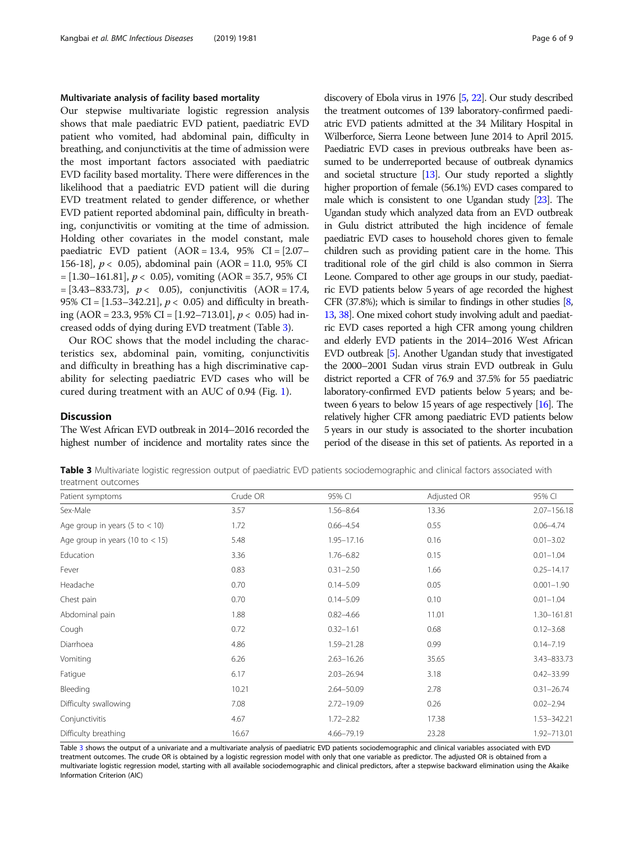## Multivariate analysis of facility based mortality

Our stepwise multivariate logistic regression analysis shows that male paediatric EVD patient, paediatric EVD patient who vomited, had abdominal pain, difficulty in breathing, and conjunctivitis at the time of admission were the most important factors associated with paediatric EVD facility based mortality. There were differences in the likelihood that a paediatric EVD patient will die during EVD treatment related to gender difference, or whether EVD patient reported abdominal pain, difficulty in breathing, conjunctivitis or vomiting at the time of admission. Holding other covariates in the model constant, male paediatric EVD patient  $(AOR = 13.4, 95\% \text{ CI} = [2.07 -$ 156-18],  $p < 0.05$ ), abdominal pain (AOR = 11.0, 95% CI  $=[1.30-161.81], p < 0.05$ , vomiting (AOR = 35.7, 95% CI  $=[3.43-833.73], p < 0.05$ , conjunctivitis  $(AOR = 17.4,$ 95% CI =  $[1.53 - 342.21]$ ,  $p < 0.05$ ) and difficulty in breathing (AOR = 23.3, 95% CI = [1.92–713.01],  $p < 0.05$ ) had increased odds of dying during EVD treatment (Table 3).

Our ROC shows that the model including the characteristics sex, abdominal pain, vomiting, conjunctivitis and difficulty in breathing has a high discriminative capability for selecting paediatric EVD cases who will be cured during treatment with an AUC of 0.94 (Fig. [1\)](#page-6-0).

## **Discussion**

The West African EVD outbreak in 2014–2016 recorded the highest number of incidence and mortality rates since the

discovery of Ebola virus in 1976 [[5](#page-8-0), [22](#page-8-0)]. Our study described the treatment outcomes of 139 laboratory-confirmed paediatric EVD patients admitted at the 34 Military Hospital in Wilberforce, Sierra Leone between June 2014 to April 2015. Paediatric EVD cases in previous outbreaks have been assumed to be underreported because of outbreak dynamics and societal structure [\[13\]](#page-8-0). Our study reported a slightly higher proportion of female (56.1%) EVD cases compared to male which is consistent to one Ugandan study [[23\]](#page-8-0). The Ugandan study which analyzed data from an EVD outbreak in Gulu district attributed the high incidence of female paediatric EVD cases to household chores given to female children such as providing patient care in the home. This traditional role of the girl child is also common in Sierra Leone. Compared to other age groups in our study, paediatric EVD patients below 5 years of age recorded the highest CFR (37.8%); which is similar to findings in other studies  $[8, 8]$  $[8, 8]$ [13,](#page-8-0) [38\]](#page-8-0). One mixed cohort study involving adult and paediatric EVD cases reported a high CFR among young children and elderly EVD patients in the 2014–2016 West African EVD outbreak [\[5\]](#page-8-0). Another Ugandan study that investigated the 2000–2001 Sudan virus strain EVD outbreak in Gulu district reported a CFR of 76.9 and 37.5% for 55 paediatric laboratory-confirmed EVD patients below 5 years; and between 6 years to below 15 years of age respectively [\[16](#page-8-0)]. The relatively higher CFR among paediatric EVD patients below 5 years in our study is associated to the shorter incubation period of the disease in this set of patients. As reported in a

Table 3 Multivariate logistic regression output of paediatric EVD patients sociodemographic and clinical factors associated with treatment outcomes

| Patient symptoms                  | Crude OR | 95% CI         | Adjusted OR | 95% CI         |
|-----------------------------------|----------|----------------|-------------|----------------|
| Sex-Male                          | 3.57     | $1.56 - 8.64$  | 13.36       | 2.07-156.18    |
| Age group in years (5 to $<$ 10)  | 1.72     | $0.66 - 4.54$  | 0.55        | $0.06 - 4.74$  |
| Age group in years (10 to $<$ 15) | 5.48     | $1.95 - 17.16$ | 0.16        | $0.01 - 3.02$  |
| Education                         | 3.36     | $1.76 - 6.82$  | 0.15        | $0.01 - 1.04$  |
| Fever                             | 0.83     | $0.31 - 2.50$  | 1.66        | $0.25 - 14.17$ |
| Headache                          | 0.70     | $0.14 - 5.09$  | 0.05        | $0.001 - 1.90$ |
| Chest pain                        | 0.70     | $0.14 - 5.09$  | 0.10        | $0.01 - 1.04$  |
| Abdominal pain                    | 1.88     | $0.82 - 4.66$  | 11.01       | 1.30-161.81    |
| Cough                             | 0.72     | $0.32 - 1.61$  | 0.68        | $0.12 - 3.68$  |
| Diarrhoea                         | 4.86     | 1.59-21.28     | 0.99        | $0.14 - 7.19$  |
| Vomiting                          | 6.26     | $2.63 - 16.26$ | 35.65       | 3.43-833.73    |
| Fatigue                           | 6.17     | $2.03 - 26.94$ | 3.18        | $0.42 - 33.99$ |
| Bleeding                          | 10.21    | 2.64-50.09     | 2.78        | $0.31 - 26.74$ |
| Difficulty swallowing             | 7.08     | 2.72-19.09     | 0.26        | $0.02 - 2.94$  |
| Conjunctivitis                    | 4.67     | $1.72 - 2.82$  | 17.38       | 1.53-342.21    |
| Difficulty breathing              | 16.67    | 4.66-79.19     | 23.28       | 1.92-713.01    |

Table 3 shows the output of a univariate and a multivariate analysis of paediatric EVD patients sociodemographic and clinical variables associated with EVD treatment outcomes. The crude OR is obtained by a logistic regression model with only that one variable as predictor. The adjusted OR is obtained from a multivariate logistic regression model, starting with all available sociodemographic and clinical predictors, after a stepwise backward elimination using the Akaike Information Criterion (AIC)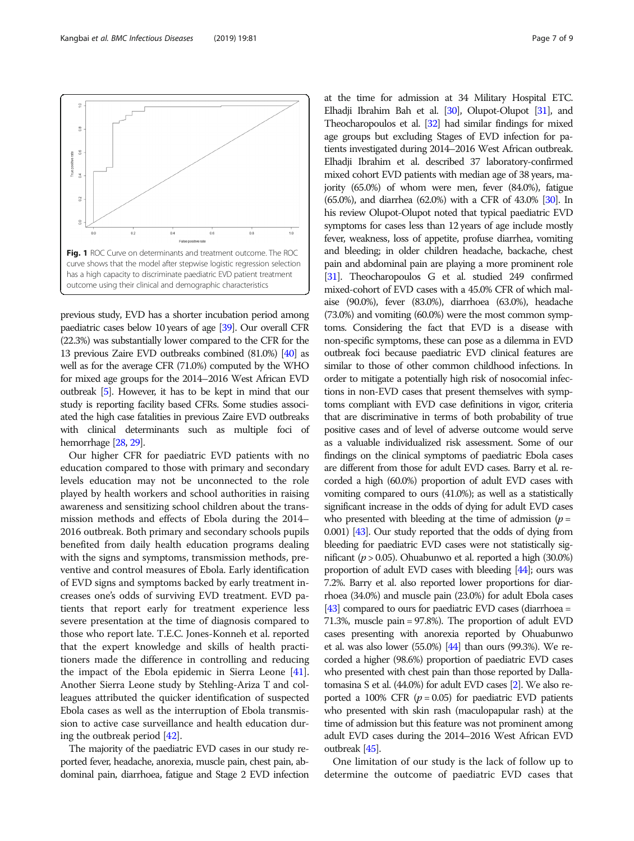previous study, EVD has a shorter incubation period among paediatric cases below 10 years of age [[39\]](#page-8-0). Our overall CFR (22.3%) was substantially lower compared to the CFR for the 13 previous Zaire EVD outbreaks combined (81.0%) [\[40](#page-8-0)] as well as for the average CFR (71.0%) computed by the WHO for mixed age groups for the 2014–2016 West African EVD outbreak [\[5\]](#page-8-0). However, it has to be kept in mind that our study is reporting facility based CFRs. Some studies associated the high case fatalities in previous Zaire EVD outbreaks with clinical determinants such as multiple foci of hemorrhage [[28,](#page-8-0) [29](#page-8-0)].

Our higher CFR for paediatric EVD patients with no education compared to those with primary and secondary levels education may not be unconnected to the role played by health workers and school authorities in raising awareness and sensitizing school children about the transmission methods and effects of Ebola during the 2014– 2016 outbreak. Both primary and secondary schools pupils benefited from daily health education programs dealing with the signs and symptoms, transmission methods, preventive and control measures of Ebola. Early identification of EVD signs and symptoms backed by early treatment increases one's odds of surviving EVD treatment. EVD patients that report early for treatment experience less severe presentation at the time of diagnosis compared to those who report late. T.E.C. Jones-Konneh et al. reported that the expert knowledge and skills of health practitioners made the difference in controlling and reducing the impact of the Ebola epidemic in Sierra Leone [[41](#page-8-0)]. Another Sierra Leone study by Stehling-Ariza T and colleagues attributed the quicker identification of suspected Ebola cases as well as the interruption of Ebola transmission to active case surveillance and health education during the outbreak period [\[42\]](#page-8-0).

The majority of the paediatric EVD cases in our study reported fever, headache, anorexia, muscle pain, chest pain, abdominal pain, diarrhoea, fatigue and Stage 2 EVD infection

Theocharopoulos et al. [[32\]](#page-8-0) had similar findings for mixed age groups but excluding Stages of EVD infection for patients investigated during 2014–2016 West African outbreak. Elhadji Ibrahim et al. described 37 laboratory-confirmed mixed cohort EVD patients with median age of 38 years, majority (65.0%) of whom were men, fever (84.0%), fatigue (65.0%), and diarrhea (62.0%) with a CFR of 43.0% [\[30\]](#page-8-0). In his review Olupot-Olupot noted that typical paediatric EVD symptoms for cases less than 12 years of age include mostly fever, weakness, loss of appetite, profuse diarrhea, vomiting and bleeding; in older children headache, backache, chest pain and abdominal pain are playing a more prominent role [[31\]](#page-8-0). Theocharopoulos G et al. studied 249 confirmed mixed-cohort of EVD cases with a 45.0% CFR of which malaise (90.0%), fever (83.0%), diarrhoea (63.0%), headache (73.0%) and vomiting (60.0%) were the most common symptoms. Considering the fact that EVD is a disease with non-specific symptoms, these can pose as a dilemma in EVD outbreak foci because paediatric EVD clinical features are similar to those of other common childhood infections. In order to mitigate a potentially high risk of nosocomial infections in non-EVD cases that present themselves with symptoms compliant with EVD case definitions in vigor, criteria that are discriminative in terms of both probability of true positive cases and of level of adverse outcome would serve as a valuable individualized risk assessment. Some of our findings on the clinical symptoms of paediatric Ebola cases are different from those for adult EVD cases. Barry et al. recorded a high (60.0%) proportion of adult EVD cases with vomiting compared to ours (41.0%); as well as a statistically significant increase in the odds of dying for adult EVD cases who presented with bleeding at the time of admission  $(p =$ 0.001) [\[43](#page-8-0)]. Our study reported that the odds of dying from bleeding for paediatric EVD cases were not statistically significant ( $p > 0.05$ ). Ohuabunwo et al. reported a high (30.0%) proportion of adult EVD cases with bleeding [\[44\]](#page-8-0); ours was 7.2%. Barry et al. also reported lower proportions for diarrhoea (34.0%) and muscle pain (23.0%) for adult Ebola cases [[43\]](#page-8-0) compared to ours for paediatric EVD cases (diarrhoea = 71.3%, muscle pain = 97.8%). The proportion of adult EVD cases presenting with anorexia reported by Ohuabunwo et al. was also lower  $(55.0%)$   $[44]$  $[44]$  than ours  $(99.3%)$ . We recorded a higher (98.6%) proportion of paediatric EVD cases who presented with chest pain than those reported by Dallatomasina S et al. (44.0%) for adult EVD cases [\[2\]](#page-8-0). We also reported a 100% CFR ( $p = 0.05$ ) for paediatric EVD patients who presented with skin rash (maculopapular rash) at the time of admission but this feature was not prominent among adult EVD cases during the 2014–2016 West African EVD outbreak [\[45](#page-8-0)].

at the time for admission at 34 Military Hospital ETC. Elhadji Ibrahim Bah et al. [\[30](#page-8-0)], Olupot-Olupot [\[31](#page-8-0)], and

One limitation of our study is the lack of follow up to determine the outcome of paediatric EVD cases that

<span id="page-6-0"></span>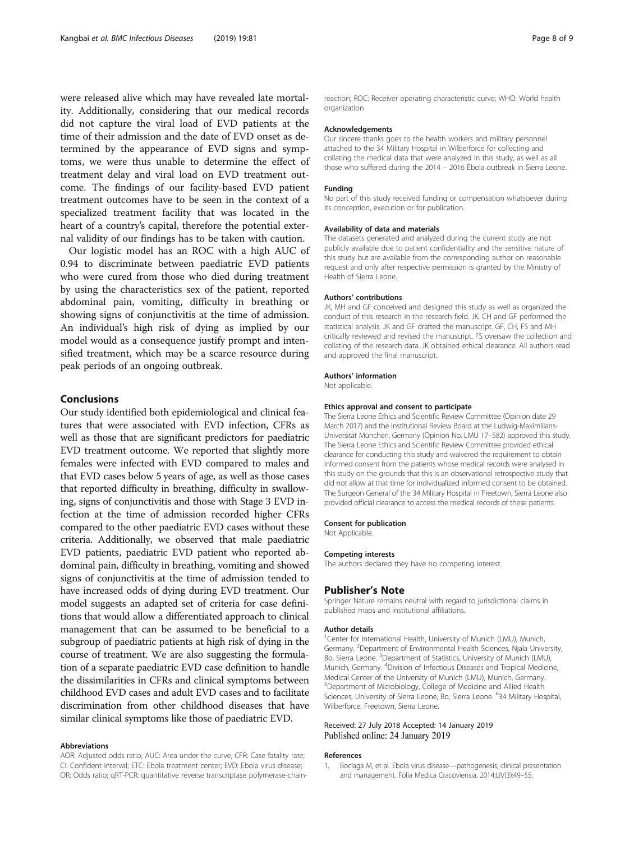<span id="page-7-0"></span>were released alive which may have revealed late mortality. Additionally, considering that our medical records did not capture the viral load of EVD patients at the time of their admission and the date of EVD onset as determined by the appearance of EVD signs and symptoms, we were thus unable to determine the effect of treatment delay and viral load on EVD treatment outcome. The findings of our facility-based EVD patient treatment outcomes have to be seen in the context of a specialized treatment facility that was located in the heart of a country's capital, therefore the potential external validity of our findings has to be taken with caution.

Our logistic model has an ROC with a high AUC of 0.94 to discriminate between paediatric EVD patients who were cured from those who died during treatment by using the characteristics sex of the patient, reported abdominal pain, vomiting, difficulty in breathing or showing signs of conjunctivitis at the time of admission. An individual's high risk of dying as implied by our model would as a consequence justify prompt and intensified treatment, which may be a scarce resource during peak periods of an ongoing outbreak.

## Conclusions

Our study identified both epidemiological and clinical features that were associated with EVD infection, CFRs as well as those that are significant predictors for paediatric EVD treatment outcome. We reported that slightly more females were infected with EVD compared to males and that EVD cases below 5 years of age, as well as those cases that reported difficulty in breathing, difficulty in swallowing, signs of conjunctivitis and those with Stage 3 EVD infection at the time of admission recorded higher CFRs compared to the other paediatric EVD cases without these criteria. Additionally, we observed that male paediatric EVD patients, paediatric EVD patient who reported abdominal pain, difficulty in breathing, vomiting and showed signs of conjunctivitis at the time of admission tended to have increased odds of dying during EVD treatment. Our model suggests an adapted set of criteria for case definitions that would allow a differentiated approach to clinical management that can be assumed to be beneficial to a subgroup of paediatric patients at high risk of dying in the course of treatment. We are also suggesting the formulation of a separate paediatric EVD case definition to handle the dissimilarities in CFRs and clinical symptoms between childhood EVD cases and adult EVD cases and to facilitate discrimination from other childhood diseases that have similar clinical symptoms like those of paediatric EVD.

## Abbreviations

AOR: Adjusted odds ratio; AUC: Area under the curve; CFR: Case fatality rate; CI: Confident interval; ETC: Ebola treatment center; EVD: Ebola virus disease; OR: Odds ratio; qRT-PCR: quantitative reverse transcriptase polymerase-chainreaction; ROC: Receiver operating characteristic curve; WHO: World health organization

#### Acknowledgements

Our sincere thanks goes to the health workers and military personnel attached to the 34 Military Hospital in Wilberforce for collecting and collating the medical data that were analyzed in this study, as well as all those who suffered during the 2014 – 2016 Ebola outbreak in Sierra Leone.

## Funding

No part of this study received funding or compensation whatsoever during its conception, execution or for publication.

#### Availability of data and materials

The datasets generated and analyzed during the current study are not publicly available due to patient confidentiality and the sensitive nature of this study but are available from the corresponding author on reasonable request and only after respective permission is granted by the Ministry of Health of Sierra Leone.

#### Authors' contributions

JK, MH and GF conceived and designed this study as well as organized the conduct of this research in the research field. JK, CH and GF performed the statistical analysis. JK and GF drafted the manuscript. GF, CH, FS and MH critically reviewed and revised the manuscript. FS oversaw the collection and collating of the research data. JK obtained ethical clearance. All authors read and approved the final manuscript.

## Authors' information

Not applicable.

#### Ethics approval and consent to participate

The Sierra Leone Ethics and Scientific Review Committee (Opinion date 29 March 2017) and the Institutional Review Board at the Ludwig-Maximilians-Universität München, Germany (Opinion No. LMU 17–582) approved this study. The Sierra Leone Ethics and Scientific Review Committee provided ethical clearance for conducting this study and waivered the requirement to obtain informed consent from the patients whose medical records were analysed in this study on the grounds that this is an observational retrospective study that did not allow at that time for individualized informed consent to be obtained. The Surgeon General of the 34 Military Hospital in Freetown, Sierra Leone also provided official clearance to access the medical records of these patients.

#### Consent for publication

Not Applicable.

#### Competing interests

The authors declared they have no competing interest.

## Publisher's Note

Springer Nature remains neutral with regard to jurisdictional claims in published maps and institutional affiliations.

## Author details

<sup>1</sup> Center for International Health, University of Munich (LMU), Munich Germany. <sup>2</sup>Department of Environmental Health Sciences, Njala University, Bo, Sierra Leone. <sup>3</sup>Department of Statistics, University of Munich (LMU), Munich, Germany. <sup>4</sup> Division of Infectious Diseases and Tropical Medicine, Medical Center of the University of Munich (LMU), Munich, Germany. 5 Department of Microbiology, College of Medicine and Allied Health Sciences, University of Sierra Leone, Bo, Sierra Leone. <sup>6</sup>34 Military Hospital Wilberforce, Freetown, Sierra Leone.

## Received: 27 July 2018 Accepted: 14 January 2019 Published online: 24 January 2019

#### References

1. Bociaga M, et al. Ebola virus disease—pathogenesis, clinical presentation and management. Folia Medica Cracoviensia. 2014;LIV(3):49–55.